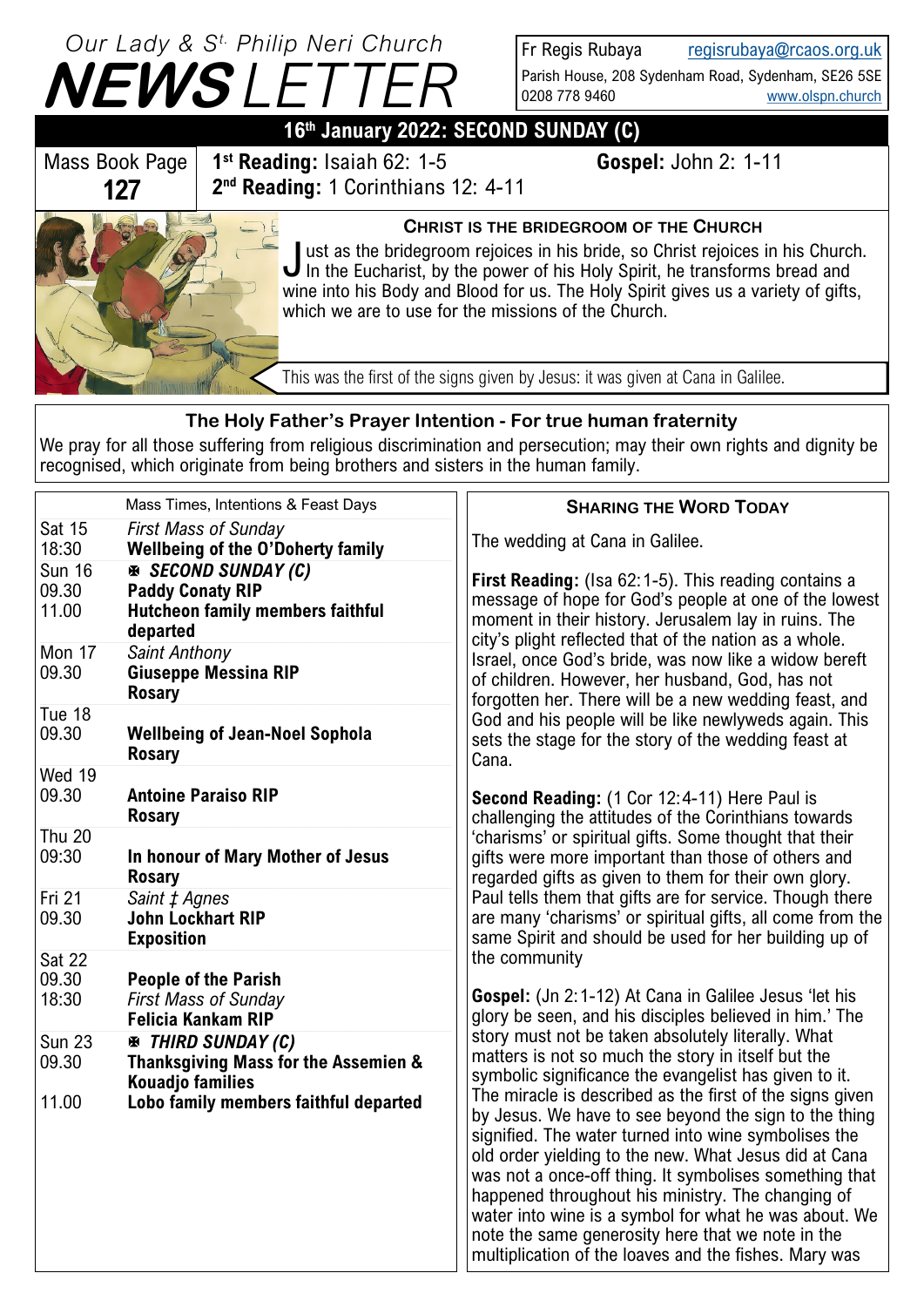

Fr Regis Rubaya [regisrubaya@rcaos.org.uk](mailto:regisrubaya@rcaos.org.uk) Parish House, 208 Sydenham Road, Sydenham, SE26 5SE 0208 778 9460 [www.olspn.church](http://www.olspn.church)

## **16th January 2022: SECOND SUNDAY (C)**

Mass Book Page **127**

**1 st Reading:** Isaiah 62: 1-5 **Gospel:** John 2: 1-11 **2 nd Reading:** 1 Corinthians 12: 4-11

## **CHRIST IS THE BRIDEGROOM OF THE CHURCH**

Just as the bridegroom rejoices in his bride, so Christ rejoices in his Churc<br>In the Eucharist, by the power of his Holy Spirit, he transforms bread and ust as the bridegroom rejoices in his bride, so Christ rejoices in his Church. wine into his Body and Blood for us. The Holy Spirit gives us a variety of gifts, which we are to use for the missions of the Church.

This was the first of the signs given by Jesus: it was given at Cana in Galilee.

## **The Holy Father's Prayer Intention - For true human fraternity**

We pray for all those suffering from religious discrimination and persecution; may their own rights and dignity be recognised, which originate from being brothers and sisters in the human family.

|                                 | Mass Times, Intentions & Feast Days                                                                           | <b>SHARING THE WORD TODAY</b>                                                                                                                                                                                                                                                                                                                                                                                                                                                                                                                                                                                                                                                                                                                                                                                                                                                                                                                                                                                                                                                                                                                                                                                                                                                                                                                                                                                                                                                                                                                                                                                                                                                                                                                                                                                                                |
|---------------------------------|---------------------------------------------------------------------------------------------------------------|----------------------------------------------------------------------------------------------------------------------------------------------------------------------------------------------------------------------------------------------------------------------------------------------------------------------------------------------------------------------------------------------------------------------------------------------------------------------------------------------------------------------------------------------------------------------------------------------------------------------------------------------------------------------------------------------------------------------------------------------------------------------------------------------------------------------------------------------------------------------------------------------------------------------------------------------------------------------------------------------------------------------------------------------------------------------------------------------------------------------------------------------------------------------------------------------------------------------------------------------------------------------------------------------------------------------------------------------------------------------------------------------------------------------------------------------------------------------------------------------------------------------------------------------------------------------------------------------------------------------------------------------------------------------------------------------------------------------------------------------------------------------------------------------------------------------------------------------|
| Sat 15<br>18:30                 | <b>First Mass of Sunday</b><br><b>Wellbeing of the O'Doherty family</b>                                       | The wedding at Cana in Galilee.                                                                                                                                                                                                                                                                                                                                                                                                                                                                                                                                                                                                                                                                                                                                                                                                                                                                                                                                                                                                                                                                                                                                                                                                                                                                                                                                                                                                                                                                                                                                                                                                                                                                                                                                                                                                              |
| <b>Sun 16</b><br>09.30<br>11.00 | <b>EX SECOND SUNDAY (C)</b><br><b>Paddy Conaty RIP</b><br><b>Hutcheon family members faithful</b><br>departed | First Reading: (Isa 62:1-5). This reading contains a<br>message of hope for God's people at one of the lowest<br>moment in their history. Jerusalem lay in ruins. The<br>city's plight reflected that of the nation as a whole.<br>Israel, once God's bride, was now like a widow bereft<br>of children. However, her husband, God, has not<br>forgotten her. There will be a new wedding feast, and<br>God and his people will be like newlyweds again. This<br>sets the stage for the story of the wedding feast at<br>Cana.<br>Second Reading: (1 Cor 12:4-11) Here Paul is<br>challenging the attitudes of the Corinthians towards<br>'charisms' or spiritual gifts. Some thought that their<br>gifts were more important than those of others and<br>regarded gifts as given to them for their own glory.<br>Paul tells them that gifts are for service. Though there<br>are many 'charisms' or spiritual gifts, all come from the<br>same Spirit and should be used for her building up of<br>the community<br><b>Gospel:</b> (Jn 2:1-12) At Cana in Galilee Jesus 'let his<br>glory be seen, and his disciples believed in him.' The<br>story must not be taken absolutely literally. What<br>matters is not so much the story in itself but the<br>symbolic significance the evangelist has given to it.<br>The miracle is described as the first of the signs given<br>by Jesus. We have to see beyond the sign to the thing<br>signified. The water turned into wine symbolises the<br>old order yielding to the new. What Jesus did at Cana<br>was not a once-off thing. It symbolises something that<br>happened throughout his ministry. The changing of<br>water into wine is a symbol for what he was about. We<br>note the same generosity here that we note in the<br>multiplication of the loaves and the fishes. Mary was |
| Mon 17<br>09.30                 | Saint Anthony<br><b>Giuseppe Messina RIP</b><br><b>Rosary</b>                                                 |                                                                                                                                                                                                                                                                                                                                                                                                                                                                                                                                                                                                                                                                                                                                                                                                                                                                                                                                                                                                                                                                                                                                                                                                                                                                                                                                                                                                                                                                                                                                                                                                                                                                                                                                                                                                                                              |
| Tue 18<br>09.30                 | <b>Wellbeing of Jean-Noel Sophola</b><br><b>Rosary</b>                                                        |                                                                                                                                                                                                                                                                                                                                                                                                                                                                                                                                                                                                                                                                                                                                                                                                                                                                                                                                                                                                                                                                                                                                                                                                                                                                                                                                                                                                                                                                                                                                                                                                                                                                                                                                                                                                                                              |
| Wed 19<br>09.30                 | <b>Antoine Paraiso RIP</b><br><b>Rosary</b>                                                                   |                                                                                                                                                                                                                                                                                                                                                                                                                                                                                                                                                                                                                                                                                                                                                                                                                                                                                                                                                                                                                                                                                                                                                                                                                                                                                                                                                                                                                                                                                                                                                                                                                                                                                                                                                                                                                                              |
| <b>Thu 20</b><br>09:30          | In honour of Mary Mother of Jesus<br><b>Rosary</b>                                                            |                                                                                                                                                                                                                                                                                                                                                                                                                                                                                                                                                                                                                                                                                                                                                                                                                                                                                                                                                                                                                                                                                                                                                                                                                                                                                                                                                                                                                                                                                                                                                                                                                                                                                                                                                                                                                                              |
| Fri 21<br>09.30                 | Saint ± Agnes<br><b>John Lockhart RIP</b><br><b>Exposition</b>                                                |                                                                                                                                                                                                                                                                                                                                                                                                                                                                                                                                                                                                                                                                                                                                                                                                                                                                                                                                                                                                                                                                                                                                                                                                                                                                                                                                                                                                                                                                                                                                                                                                                                                                                                                                                                                                                                              |
| Sat 22<br>09.30<br>18:30        | <b>People of the Parish</b><br><b>First Mass of Sunday</b><br>Felicia Kankam RIP                              |                                                                                                                                                                                                                                                                                                                                                                                                                                                                                                                                                                                                                                                                                                                                                                                                                                                                                                                                                                                                                                                                                                                                                                                                                                                                                                                                                                                                                                                                                                                                                                                                                                                                                                                                                                                                                                              |
| <b>Sun 23</b><br>09.30          | <b>EN THIRD SUNDAY (C)</b><br>Thanksgiving Mass for the Assemien &<br><b>Kouadjo families</b>                 |                                                                                                                                                                                                                                                                                                                                                                                                                                                                                                                                                                                                                                                                                                                                                                                                                                                                                                                                                                                                                                                                                                                                                                                                                                                                                                                                                                                                                                                                                                                                                                                                                                                                                                                                                                                                                                              |
| 11.00                           | Lobo family members faithful departed                                                                         |                                                                                                                                                                                                                                                                                                                                                                                                                                                                                                                                                                                                                                                                                                                                                                                                                                                                                                                                                                                                                                                                                                                                                                                                                                                                                                                                                                                                                                                                                                                                                                                                                                                                                                                                                                                                                                              |